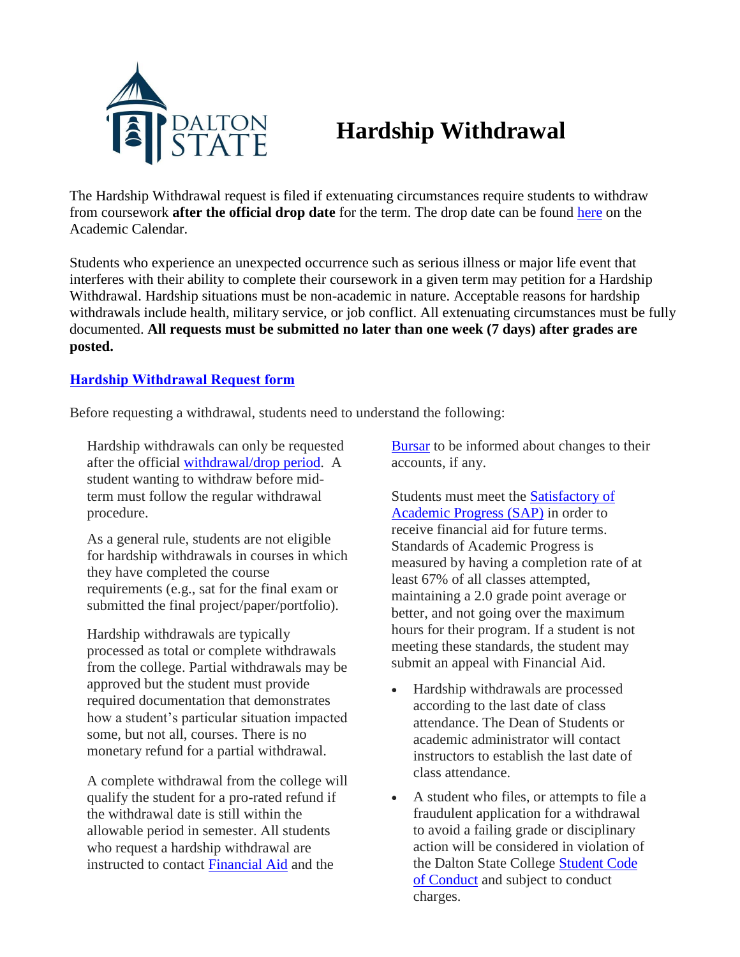

## **Hardship Withdrawal**

The Hardship Withdrawal request is filed if extenuating circumstances require students to withdraw from coursework **after the official drop date** for the term. The drop date can be found [here](https://www.daltonstate.edu/about/academic-calendar.cms) on the Academic Calendar.

Students who experience an unexpected occurrence such as serious illness or major life event that interferes with their ability to complete their coursework in a given term may petition for a Hardship Withdrawal. Hardship situations must be non-academic in nature. Acceptable reasons for hardship withdrawals include health, military service, or job conflict. All extenuating circumstances must be fully documented. **All requests must be submitted no later than one week (7 days) after grades are posted.**

## **[Hardship Withdrawal Request for](https://cm.maxient.com/reportingform.php?DaltonStateCollege&layout_id=4)m**

Before requesting a withdrawal, students need to understand the following:

Hardship withdrawals can only be requested after the official [withdrawal/drop](https://www.daltonstate.edu/about/academic-calendar.cms) period. A student wanting to withdraw before midterm must follow the regular withdrawal procedure.

As a general rule, students are not eligible for hardship withdrawals in courses in which they have completed the course requirements (e.g., sat for the final exam or submitted the final project/paper/portfolio).

Hardship withdrawals are typically processed as total or complete withdrawals from the college. Partial withdrawals may be approved but the student must provide required documentation that demonstrates how a student's particular situation impacted some, but not all, courses. There is no monetary refund for a partial withdrawal.

A complete withdrawal from the college will qualify the student for a pro-rated refund if the withdrawal date is still within the allowable period in semester. All students who request a hardship withdrawal are instructed to contact Financial Aid and the

[Bursar](https://www.daltonstate.edu/about/bursar-overview.cms) to be informed about changes to their accounts, if any.

Students must meet the [Satisfactory](https://www.daltonstate.edu/admissions/student-aid-forms.cms) of [Academic](https://www.daltonstate.edu/admissions/student-aid-forms.cms) Progress (SAP) in order to receive financial aid for future terms. Standards of Academic Progress is measured by having a completion rate of at least 67% of all classes attempted, maintaining a 2.0 grade point average or better, and not going over the maximum hours for their program. If a student is not meeting these standards, the student may submit an appeal with Financial Aid.

- Hardship withdrawals are processed according to the last date of class attendance. The Dean of Students or academic administrator will contact instructors to establish the last date of class attendance.
- A student who files, or attempts to file a fraudulent application for a withdrawal to avoid a failing grade or disciplinary action will be considered in violation of the Dalton State College [Student](https://www.daltonstate.edu/campus_life/student-conduct-about.cms) Code of [Conduct](https://www.daltonstate.edu/campus_life/student-conduct-about.cms) and subject to conduct charges.